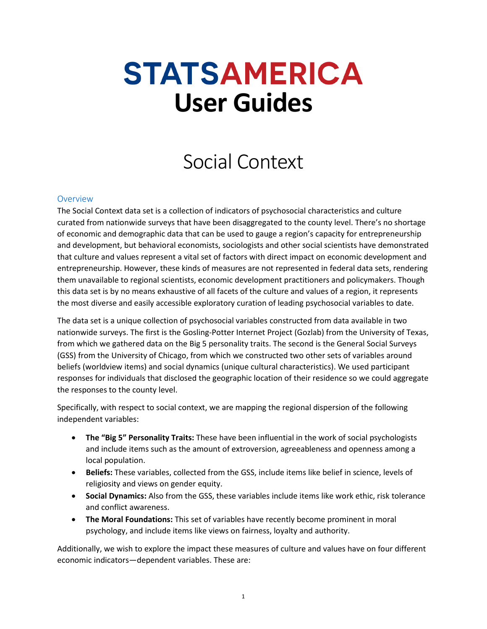# **STATSAMERICA User Guides**

# Social Context

# **Overview**

The Social Context data set is a collection of indicators of psychosocial characteristics and culture curated from nationwide surveys that have been disaggregated to the county level. There's no shortage of economic and demographic data that can be used to gauge a region's capacity for entrepreneurship and development, but behavioral economists, sociologists and other social scientists have demonstrated that culture and values represent a vital set of factors with direct impact on economic development and entrepreneurship. However, these kinds of measures are not represented in federal data sets, rendering them unavailable to regional scientists, economic development practitioners and policymakers. Though this data set is by no means exhaustive of all facets of the culture and values of a region, it represents the most diverse and easily accessible exploratory curation of leading psychosocial variables to date.

The data set is a unique collection of psychosocial variables constructed from data available in two nationwide surveys. The first is the Gosling-Potter Internet Project (Gozlab) from the University of Texas, from which we gathered data on the Big 5 personality traits. The second is the General Social Surveys (GSS) from the University of Chicago, from which we constructed two other sets of variables around beliefs (worldview items) and social dynamics (unique cultural characteristics). We used participant responses for individuals that disclosed the geographic location of their residence so we could aggregate the responses to the county level.

Specifically, with respect to social context, we are mapping the regional dispersion of the following independent variables:

- **The "Big 5" Personality Traits:** These have been influential in the work of social psychologists and include items such as the amount of extroversion, agreeableness and openness among a local population.
- **Beliefs:** These variables, collected from the GSS, include items like belief in science, levels of religiosity and views on gender equity.
- **Social Dynamics:** Also from the GSS, these variables include items like work ethic, risk tolerance and conflict awareness.
- **The Moral Foundations:** This set of variables have recently become prominent in moral psychology, and include items like views on fairness, loyalty and authority.

Additionally, we wish to explore the impact these measures of culture and values have on four different economic indicators—dependent variables. These are: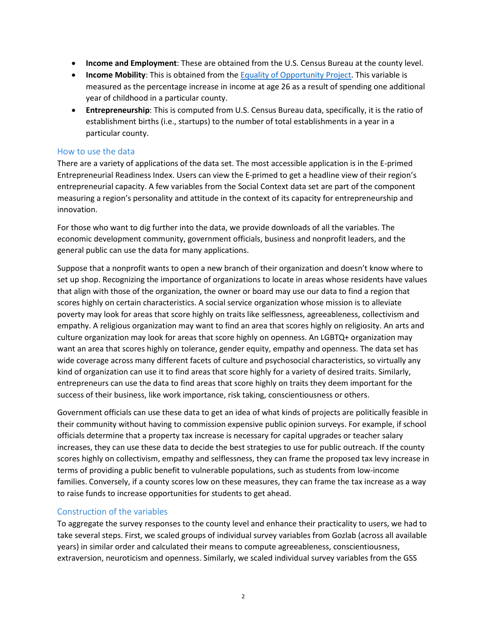- **Income and Employment**: These are obtained from the U.S. Census Bureau at the county level.
- **Income Mobility**: This is obtained from the [Equality of Opportunity Project.](https://opportunityinsights.org/) This variable is measured as the percentage increase in income at age 26 as a result of spending one additional year of childhood in a particular county.
- **Entrepreneurship**: This is computed from U.S. Census Bureau data, specifically, it is the ratio of establishment births (i.e., startups) to the number of total establishments in a year in a particular county.

## How to use the data

There are a variety of applications of the data set. The most accessible application is in the E-primed Entrepreneurial Readiness Index. Users can view the E-primed to get a headline view of their region's entrepreneurial capacity. A few variables from the Social Context data set are part of the component measuring a region's personality and attitude in the context of its capacity for entrepreneurship and innovation.

For those who want to dig further into the data, we provide downloads of all the variables. The economic development community, government officials, business and nonprofit leaders, and the general public can use the data for many applications.

Suppose that a nonprofit wants to open a new branch of their organization and doesn't know where to set up shop. Recognizing the importance of organizations to locate in areas whose residents have values that align with those of the organization, the owner or board may use our data to find a region that scores highly on certain characteristics. A social service organization whose mission is to alleviate poverty may look for areas that score highly on traits like selflessness, agreeableness, collectivism and empathy. A religious organization may want to find an area that scores highly on religiosity. An arts and culture organization may look for areas that score highly on openness. An LGBTQ+ organization may want an area that scores highly on tolerance, gender equity, empathy and openness. The data set has wide coverage across many different facets of culture and psychosocial characteristics, so virtually any kind of organization can use it to find areas that score highly for a variety of desired traits. Similarly, entrepreneurs can use the data to find areas that score highly on traits they deem important for the success of their business, like work importance, risk taking, conscientiousness or others.

Government officials can use these data to get an idea of what kinds of projects are politically feasible in their community without having to commission expensive public opinion surveys. For example, if school officials determine that a property tax increase is necessary for capital upgrades or teacher salary increases, they can use these data to decide the best strategies to use for public outreach. If the county scores highly on collectivism, empathy and selflessness, they can frame the proposed tax levy increase in terms of providing a public benefit to vulnerable populations, such as students from low-income families. Conversely, if a county scores low on these measures, they can frame the tax increase as a way to raise funds to increase opportunities for students to get ahead.

# Construction of the variables

To aggregate the survey responses to the county level and enhance their practicality to users, we had to take several steps. First, we scaled groups of individual survey variables from Gozlab (across all available years) in similar order and calculated their means to compute agreeableness, conscientiousness, extraversion, neuroticism and openness. Similarly, we scaled individual survey variables from the GSS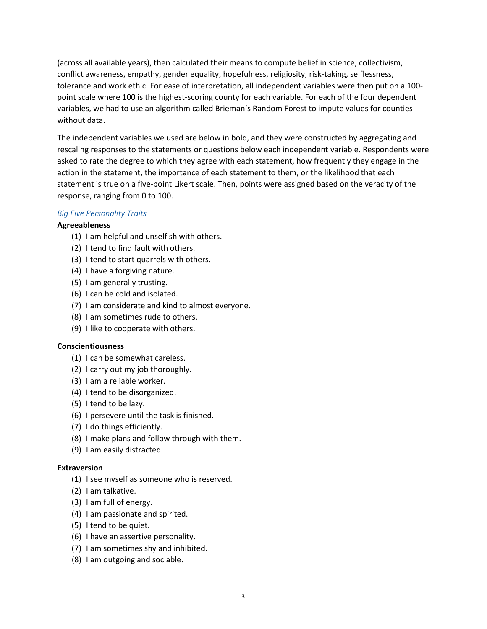(across all available years), then calculated their means to compute belief in science, collectivism, conflict awareness, empathy, gender equality, hopefulness, religiosity, risk-taking, selflessness, tolerance and work ethic. For ease of interpretation, all independent variables were then put on a 100 point scale where 100 is the highest-scoring county for each variable. For each of the four dependent variables, we had to use an algorithm called Brieman's Random Forest to impute values for counties without data.

The independent variables we used are below in bold, and they were constructed by aggregating and rescaling responses to the statements or questions below each independent variable. Respondents were asked to rate the degree to which they agree with each statement, how frequently they engage in the action in the statement, the importance of each statement to them, or the likelihood that each statement is true on a five-point Likert scale. Then, points were assigned based on the veracity of the response, ranging from 0 to 100.

# *Big Five Personality Traits*

# **Agreeableness**

- (1) I am helpful and unselfish with others.
- (2) I tend to find fault with others.
- (3) I tend to start quarrels with others.
- (4) I have a forgiving nature.
- (5) I am generally trusting.
- (6) I can be cold and isolated.
- (7) I am considerate and kind to almost everyone.
- (8) I am sometimes rude to others.
- (9) I like to cooperate with others.

# **Conscientiousness**

- (1) I can be somewhat careless.
- (2) I carry out my job thoroughly.
- (3) I am a reliable worker.
- (4) I tend to be disorganized.
- (5) I tend to be lazy.
- (6) I persevere until the task is finished.
- (7) I do things efficiently.
- (8) I make plans and follow through with them.
- (9) I am easily distracted.

# **Extraversion**

- (1) I see myself as someone who is reserved.
- (2) I am talkative.
- (3) I am full of energy.
- (4) I am passionate and spirited.
- (5) I tend to be quiet.
- (6) I have an assertive personality.
- (7) I am sometimes shy and inhibited.
- (8) I am outgoing and sociable.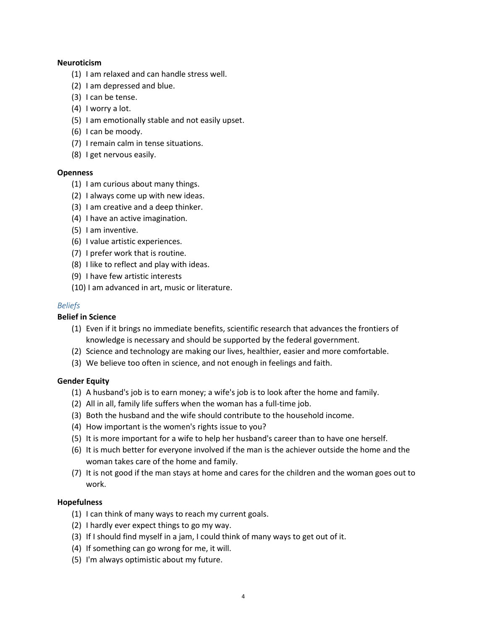### **Neuroticism**

- (1) I am relaxed and can handle stress well.
- (2) I am depressed and blue.
- (3) I can be tense.
- (4) I worry a lot.
- (5) I am emotionally stable and not easily upset.
- (6) I can be moody.
- (7) I remain calm in tense situations.
- (8) I get nervous easily.

#### **Openness**

- (1) I am curious about many things.
- (2) I always come up with new ideas.
- (3) I am creative and a deep thinker.
- (4) I have an active imagination.
- (5) I am inventive.
- (6) I value artistic experiences.
- (7) I prefer work that is routine.
- (8) I like to reflect and play with ideas.
- (9) I have few artistic interests
- (10) I am advanced in art, music or literature.

#### *Beliefs*

#### **Belief in Science**

- (1) Even if it brings no immediate benefits, scientific research that advances the frontiers of knowledge is necessary and should be supported by the federal government.
- (2) Science and technology are making our lives, healthier, easier and more comfortable.
- (3) We believe too often in science, and not enough in feelings and faith.

#### **Gender Equity**

- (1) A husband's job is to earn money; a wife's job is to look after the home and family.
- (2) All in all, family life suffers when the woman has a full-time job.
- (3) Both the husband and the wife should contribute to the household income.
- (4) How important is the women's rights issue to you?
- (5) It is more important for a wife to help her husband's career than to have one herself.
- (6) It is much better for everyone involved if the man is the achiever outside the home and the woman takes care of the home and family.
- (7) It is not good if the man stays at home and cares for the children and the woman goes out to work.

#### **Hopefulness**

- (1) I can think of many ways to reach my current goals.
- (2) I hardly ever expect things to go my way.
- (3) If I should find myself in a jam, I could think of many ways to get out of it.
- (4) If something can go wrong for me, it will.
- (5) I'm always optimistic about my future.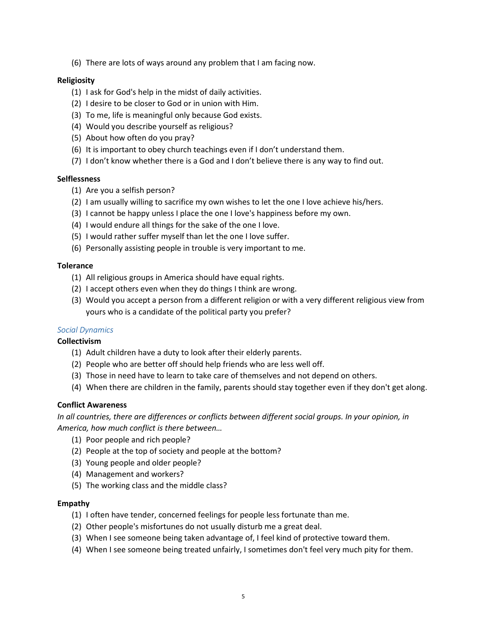(6) There are lots of ways around any problem that I am facing now.

### **Religiosity**

- (1) I ask for God's help in the midst of daily activities.
- (2) I desire to be closer to God or in union with Him.
- (3) To me, life is meaningful only because God exists.
- (4) Would you describe yourself as religious?
- (5) About how often do you pray?
- (6) It is important to obey church teachings even if I don't understand them.
- (7) I don't know whether there is a God and I don't believe there is any way to find out.

### **Selflessness**

- (1) Are you a selfish person?
- (2) I am usually willing to sacrifice my own wishes to let the one I love achieve his/hers.
- (3) I cannot be happy unless I place the one I love's happiness before my own.
- (4) I would endure all things for the sake of the one I love.
- (5) I would rather suffer myself than let the one I love suffer.
- (6) Personally assisting people in trouble is very important to me.

#### **Tolerance**

- (1) All religious groups in America should have equal rights.
- (2) I accept others even when they do things I think are wrong.
- (3) Would you accept a person from a different religion or with a very different religious view from yours who is a candidate of the political party you prefer?

#### *Social Dynamics*

#### **Collectivism**

- (1) Adult children have a duty to look after their elderly parents.
- (2) People who are better off should help friends who are less well off.
- (3) Those in need have to learn to take care of themselves and not depend on others.
- (4) When there are children in the family, parents should stay together even if they don't get along.

#### **Conflict Awareness**

*In all countries, there are differences or conflicts between different social groups. In your opinion, in America, how much conflict is there between…*

- (1) Poor people and rich people?
- (2) People at the top of society and people at the bottom?
- (3) Young people and older people?
- (4) Management and workers?
- (5) The working class and the middle class?

#### **Empathy**

- (1) I often have tender, concerned feelings for people less fortunate than me.
- (2) Other people's misfortunes do not usually disturb me a great deal.
- (3) When I see someone being taken advantage of, I feel kind of protective toward them.
- (4) When I see someone being treated unfairly, I sometimes don't feel very much pity for them.